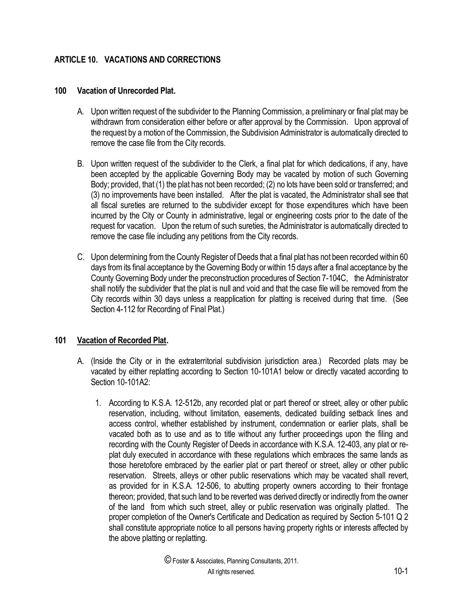# **ARTICLE 10. VACATIONS AND CORRECTIONS**

#### **100 Vacation of Unrecorded Plat.**

- A. Upon written request of the subdivider to the Planning Commission, a preliminary or final plat may be withdrawn from consideration either before or after approval by the Commission. Upon approval of the request by a motion of the Commission, the Subdivision Administrator is automatically directed to remove the case file from the City records.
- B. Upon written request of the subdivider to the Clerk, a final plat for which dedications, if any, have been accepted by the applicable Governing Body may be vacated by motion of such Governing Body; provided, that (1) the plat has not been recorded; (2) no lots have been sold or transferred; and (3) no improvements have been installed. After the plat is vacated, the Administrator shall see that all fiscal sureties are returned to the subdivider except for those expenditures which have been incurred by the City or County in administrative, legal or engineering costs prior to the date of the request for vacation. Upon the return of such sureties, the Administrator is automatically directed to remove the case file including any petitions from the City records.
- C. Upon determining from the County Register of Deeds that a final plat has not been recorded within 60 days from its final acceptance by the Governing Body or within 15 days after a final acceptance by the County Governing Body under the preconstruction procedures of Section 7-104C, the Administrator shall notify the subdivider that the plat is null and void and that the case file will be removed from the City records within 30 days unless a reapplication for platting is received during that time. (See Section 4-112 for Recording of Final Plat.)

### **101 Vacation of Recorded Plat.**

- A. (Inside the City or in the extraterritorial subdivision jurisdiction area.) Recorded plats may be vacated by either replatting according to Section 10-101A1 below or directly vacated according to Section 10-101A2:
	- 1. According to K.S.A. 12-512b, any recorded plat or part thereof or street, alley or other public reservation, including, without limitation, easements, dedicated building setback lines and access control, whether established by instrument, condemnation or earlier plats, shall be vacated both as to use and as to title without any further proceedings upon the filing and recording with the County Register of Deeds in accordance with K.S.A. 12-403, any plat or replat duly executed in accordance with these regulations which embraces the same lands as those heretofore embraced by the earlier plat or part thereof or street, alley or other public reservation. Streets, alleys or other public reservations which may be vacated shall revert, as provided for in K.S.A. 12-506, to abutting property owners according to their frontage thereon; provided, that such land to be reverted was derived directly or indirectly from the owner of the land from which such street, alley or public reservation was originally platted. The proper completion of the Owner's Certificate and Dedication as required by Section 5-101 Q 2 shall constitute appropriate notice to all persons having property rights or interests affected by the above platting or replatting.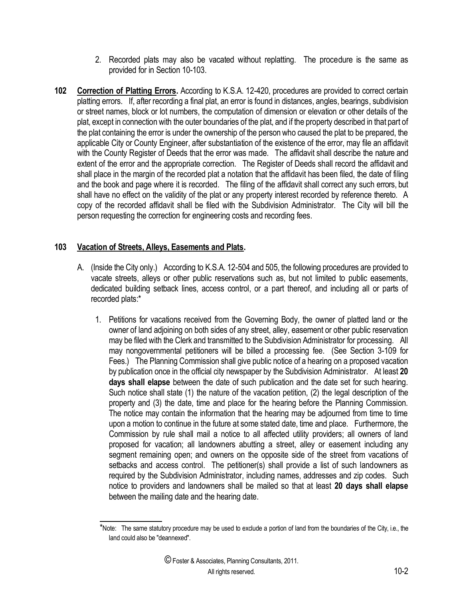- 2. Recorded plats may also be vacated without replatting. The procedure is the same as provided for in Section 10-103.
- **102 Correction of Platting Errors.** According to K.S.A. 12-420, procedures are provided to correct certain platting errors. If, after recording a final plat, an error is found in distances, angles, bearings, subdivision or street names, block or lot numbers, the computation of dimension or elevation or other details of the plat, except in connection with the outer boundaries of the plat, and if the property described in that part of the plat containing the error is under the ownership of the person who caused the plat to be prepared, the applicable City or County Engineer, after substantiation of the existence of the error, may file an affidavit with the County Register of Deeds that the error was made. The affidavit shall describe the nature and extent of the error and the appropriate correction. The Register of Deeds shall record the affidavit and shall place in the margin of the recorded plat a notation that the affidavit has been filed, the date of filing and the book and page where it is recorded. The filing of the affidavit shall correct any such errors, but shall have no effect on the validity of the plat or any property interest recorded by reference thereto. A copy of the recorded affidavit shall be filed with the Subdivision Administrator. The City will bill the person requesting the correction for engineering costs and recording fees.

### **103 Vacation of Streets, Alleys, Easements and Plats.**

l

- A. (Inside the City only.) According to K.S.A. 12-504 and 505, the following procedures are provided to vacate streets, alleys or other public reservations such as, but not limited to public easements, dedicated building setback lines, access control, or a part thereof, and including all or parts of recorded plats:\*
	- 1. Petitions for vacations received from the Governing Body, the owner of platted land or the owner of land adjoining on both sides of any street, alley, easement or other public reservation may be filed with the Clerk and transmitted to the Subdivision Administrator for processing. All may nongovernmental petitioners will be billed a processing fee. (See Section 3-109 for Fees.) The Planning Commission shall give public notice of a hearing on a proposed vacation by publication once in the official city newspaper by the Subdivision Administrator. At least **20 days shall elapse** between the date of such publication and the date set for such hearing. Such notice shall state (1) the nature of the vacation petition, (2) the legal description of the property and (3) the date, time and place for the hearing before the Planning Commission. The notice may contain the information that the hearing may be adjourned from time to time upon a motion to continue in the future at some stated date, time and place. Furthermore, the Commission by rule shall mail a notice to all affected utility providers; all owners of land proposed for vacation; all landowners abutting a street, alley or easement including any segment remaining open; and owners on the opposite side of the street from vacations of setbacks and access control. The petitioner(s) shall provide a list of such landowners as required by the Subdivision Administrator, including names, addresses and zip codes. Such notice to providers and landowners shall be mailed so that at least **20 days shall elapse** between the mailing date and the hearing date.

<sup>\*</sup>Note: The same statutory procedure may be used to exclude a portion of land from the boundaries of the City, i.e., the land could also be "deannexed".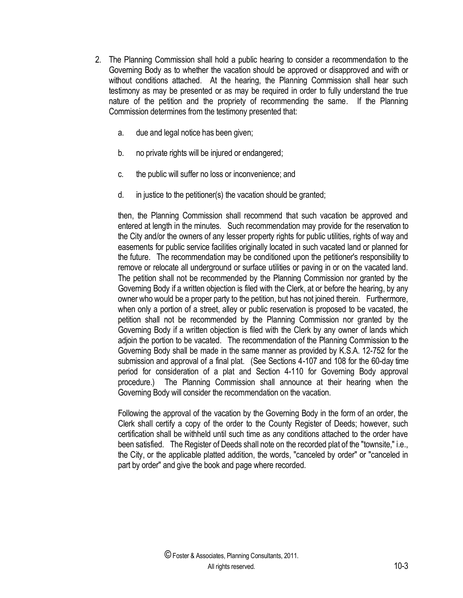- 2. The Planning Commission shall hold a public hearing to consider a recommendation to the Governing Body as to whether the vacation should be approved or disapproved and with or without conditions attached. At the hearing, the Planning Commission shall hear such testimony as may be presented or as may be required in order to fully understand the true nature of the petition and the propriety of recommending the same. If the Planning Commission determines from the testimony presented that:
	- a. due and legal notice has been given;
	- b. no private rights will be injured or endangered;
	- c. the public will suffer no loss or inconvenience; and
	- d. in justice to the petitioner(s) the vacation should be granted;

then, the Planning Commission shall recommend that such vacation be approved and entered at length in the minutes. Such recommendation may provide for the reservation to the City and/or the owners of any lesser property rights for public utilities, rights of way and easements for public service facilities originally located in such vacated land or planned for the future. The recommendation may be conditioned upon the petitioner's responsibility to remove or relocate all underground or surface utilities or paving in or on the vacated land. The petition shall not be recommended by the Planning Commission nor granted by the Governing Body if a written objection is filed with the Clerk, at or before the hearing, by any owner who would be a proper party to the petition, but has not joined therein. Furthermore, when only a portion of a street, alley or public reservation is proposed to be vacated, the petition shall not be recommended by the Planning Commission nor granted by the Governing Body if a written objection is filed with the Clerk by any owner of lands which adjoin the portion to be vacated. The recommendation of the Planning Commission to the Governing Body shall be made in the same manner as provided by K.S.A. 12-752 for the submission and approval of a final plat. (See Sections 4-107 and 108 for the 60-day time period for consideration of a plat and Section 4-110 for Governing Body approval procedure.) The Planning Commission shall announce at their hearing when the Governing Body will consider the recommendation on the vacation.

Following the approval of the vacation by the Governing Body in the form of an order, the Clerk shall certify a copy of the order to the County Register of Deeds; however, such certification shall be withheld until such time as any conditions attached to the order have been satisfied. The Register of Deeds shall note on the recorded plat of the "townsite," i.e., the City, or the applicable platted addition, the words, "canceled by order" or "canceled in part by order" and give the book and page where recorded.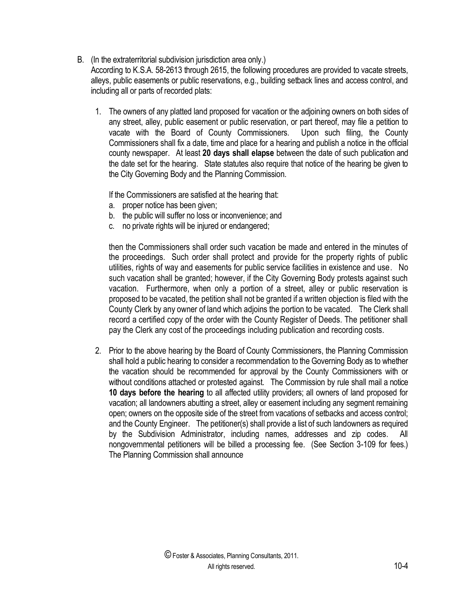## B. (In the extraterritorial subdivision jurisdiction area only.)

According to K.S.A. 58-2613 through 2615, the following procedures are provided to vacate streets, alleys, public easements or public reservations, e.g., building setback lines and access control, and including all or parts of recorded plats:

1. The owners of any platted land proposed for vacation or the adjoining owners on both sides of any street, alley, public easement or public reservation, or part thereof, may file a petition to vacate with the Board of County Commissioners. Upon such filing, the County Commissioners shall fix a date, time and place for a hearing and publish a notice in the official county newspaper. At least **20 days shall elapse** between the date of such publication and the date set for the hearing. State statutes also require that notice of the hearing be given to the City Governing Body and the Planning Commission.

If the Commissioners are satisfied at the hearing that:

- a. proper notice has been given;
- b. the public will suffer no loss or inconvenience; and
- c. no private rights will be injured or endangered;

then the Commissioners shall order such vacation be made and entered in the minutes of the proceedings. Such order shall protect and provide for the property rights of public utilities, rights of way and easements for public service facilities in existence and use. No such vacation shall be granted; however, if the City Governing Body protests against such vacation. Furthermore, when only a portion of a street, alley or public reservation is proposed to be vacated, the petition shall not be granted if a written objection is filed with the County Clerk by any owner of land which adjoins the portion to be vacated. The Clerk shall record a certified copy of the order with the County Register of Deeds. The petitioner shall pay the Clerk any cost of the proceedings including publication and recording costs.

2. Prior to the above hearing by the Board of County Commissioners, the Planning Commission shall hold a public hearing to consider a recommendation to the Governing Body as to whether the vacation should be recommended for approval by the County Commissioners with or without conditions attached or protested against. The Commission by rule shall mail a notice **10 days before the hearing** to all affected utility providers; all owners of land proposed for vacation; all landowners abutting a street, alley or easement including any segment remaining open; owners on the opposite side of the street from vacations of setbacks and access control; and the County Engineer. The petitioner(s) shall provide a list of such landowners as required by the Subdivision Administrator, including names, addresses and zip codes. All nongovernmental petitioners will be billed a processing fee. (See Section 3-109 for fees.) The Planning Commission shall announce